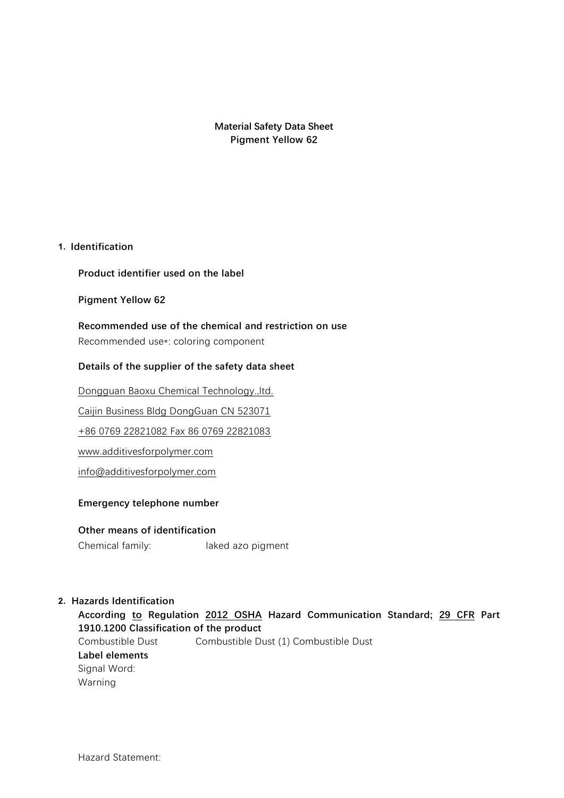**Material Safety Data Sheet Pigment Yellow 62**

#### **1. Identification**

#### **Product identifier used on the label**

#### **Pigment Yellow 62**

**Recommended use of the chemical and restriction on use** Recommended use\*: coloring component

#### **Details of the supplier of the safety data sheet**

Dongguan Baoxu Chemical Technology.,ltd.

Caijin Business Bldg DongGuan CN 523071

+86 0769 22821082 Fax 86 0769 22821083

www.additivesforpolymer.com

info@additivesforpolymer.com

#### **Emergency telephone number**

#### **Other means of identification**

Chemical family: laked azo pigment

#### **2. Hazards Identification**

**According to Regulation 2012 OSHA Hazard Communication Standard; 29 CFR Part 1910.1200 Classification of the product** Combustible Dust Combustible Dust (1) Combustible Dust **Label elements** Signal Word: Warning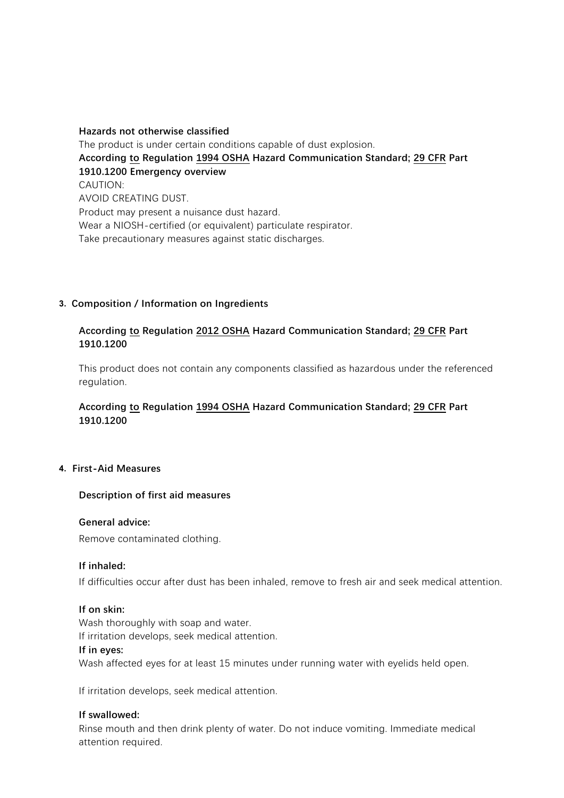**Hazards not otherwise classified** The product is under certain conditions capable of dust explosion. **According to Regulation 1994 OSHA Hazard Communication Standard; 29 CFR Part 1910.1200 Emergency overview** CAUTION: AVOID CREATING DUST. Product may present a nuisance dust hazard. Wear a NIOSH-certified (or equivalent) particulate respirator. Take precautionary measures against static discharges.

#### **3. Composition / Information on Ingredients**

#### **According to Regulation 2012 OSHA Hazard Communication Standard; 29 CFR Part 1910.1200**

This product does not contain any components classified as hazardous under the referenced regulation.

### **According to Regulation 1994 OSHA Hazard Communication Standard; 29 CFR Part 1910.1200**

# Trade Secret >= 75.0 - <= 100.0 Organic azo compound **4. First-Aid Measures**

#### **Description of first aid measures**

#### **General advice:**

Remove contaminated clothing.

#### **If inhaled:**

If difficulties occur after dust has been inhaled, remove to fresh air and seek medical attention.

#### **If on skin:**

Wash thoroughly with soap and water.

If irritation develops, seek medical attention.

#### **If in eyes:**

Wash affected eyes for at least 15 minutes under running water with eyelids held open.

If irritation develops, seek medical attention.

#### **If swallowed:**

Rinse mouth and then drink plenty of water. Do not induce vomiting. Immediate medical attention required.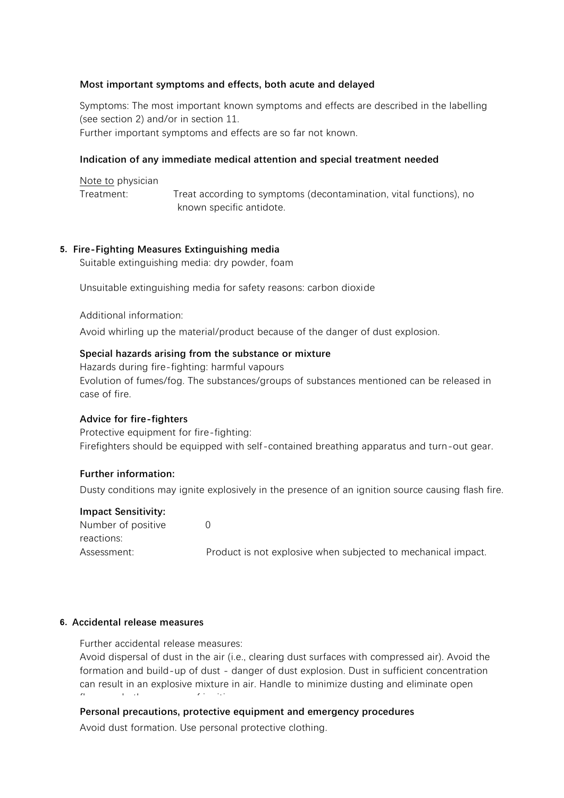#### **Most important symptoms and effects, both acute and delayed**

Symptoms: The most important known symptoms and effects are described in the labelling (see section 2) and/or in section 11.

Further important symptoms and effects are so far not known.

#### **Indication of any immediate medical attention and special treatment needed**

Note to physician

Treatment: Treat according to symptoms (decontamination, vital functions), no known specific antidote.

## **5. Fire-Fighting Measures Extinguishing media**

Suitable extinguishing media: dry powder, foam

Unsuitable extinguishing media for safety reasons: carbon dioxide

Additional information:

Avoid whirling up the material/product because of the danger of dust explosion.

## **Special hazards arising from the substance or mixture**

Hazards during fire-fighting: harmful vapours Evolution of fumes/fog. The substances/groups of substances mentioned can be released in case of fire.

## **Advice for fire-fighters**

Protective equipment for fire-fighting: Firefighters should be equipped with self-contained breathing apparatus and turn-out gear.

## **Further information:**

Dusty conditions may ignite explosively in the presence of an ignition source causing flash fire.

## **Impact Sensitivity:**

| Number of positive |                                                               |
|--------------------|---------------------------------------------------------------|
| reactions:         |                                                               |
| Assessment:        | Product is not explosive when subjected to mechanical impact. |

## **6. Accidental release measures**

Further accidental release measures:

Avoid dispersal of dust in the air (i.e., clearing dust surfaces with compressed air). Avoid the formation and build-up of dust - danger of dust explosion. Dust in sufficient concentration can result in an explosive mixture in air. Handle to minimize dusting and eliminate open flame and other sources of ignition.

## **Personal precautions, protective equipment and emergency procedures**

Avoid dust formation. Use personal protective clothing.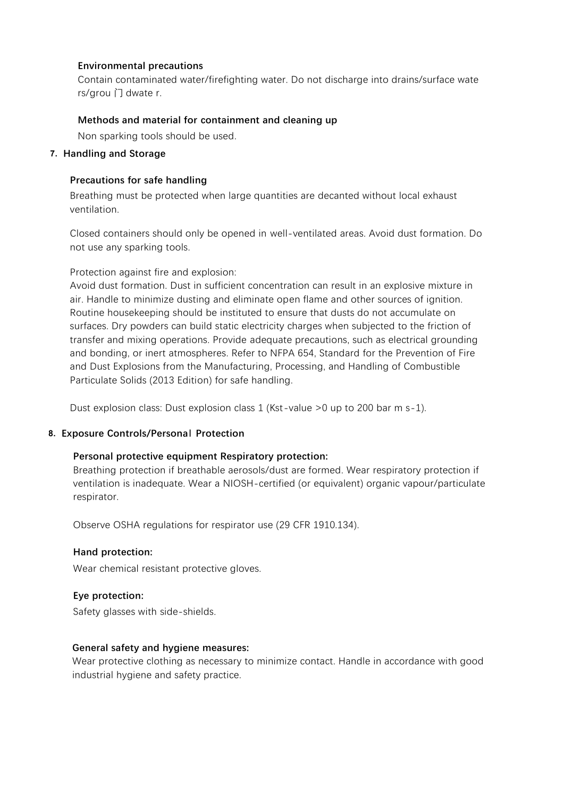#### **Environmental precautions**

Contain contaminated water/firefighting water. Do not discharge into drains/surface wate rs/grou 门 dwate r.

#### **Methods and material for containment and cleaning up**

Non sparking tools should be used.

#### **7. Handling and Storage**

#### **Precautions for safe handling**

Breathing must be protected when large quantities are decanted without local exhaust ventilation.

Closed containers should only be opened in well-ventilated areas. Avoid dust formation. Do not use any sparking tools.

#### Protection against fire and explosion:

Avoid dust formation. Dust in sufficient concentration can result in an explosive mixture in air. Handle to minimize dusting and eliminate open flame and other sources of ignition. Routine housekeeping should be instituted to ensure that dusts do not accumulate on surfaces. Dry powders can build static electricity charges when subjected to the friction of transfer and mixing operations. Provide adequate precautions, such as electrical grounding and bonding, or inert atmospheres. Refer to NFPA 654, Standard for the Prevention of Fire and Dust Explosions from the Manufacturing, Processing, and Handling of Combustible Particulate Solids (2013 Edition) for safe handling.

Dust explosion class: Dust explosion class 1 (Kst-value >0 up to 200 bar m s-1).

## **Conditions for safe storage, including any incompatibilities 8. Exposure Controls/Persona**l **Protection**

# Personal protective equipment Respiratory protection:

Breathing protection if breathable aerosols/dust are formed. Wear respiratory protection if ventilation is inadequate. Wear a NIOSH-certified (or equivalent) organic vapour/particulate respirator.

Observe OSHA regulations for respirator use (29 CFR 1910.134).

#### **Hand protection:**

Wear chemical resistant protective gloves.

#### **Eye protection:**

Safety glasses with side-shields.

#### **General safety and hygiene measures:**

Wear protective clothing as necessary to minimize contact. Handle in accordance with good industrial hygiene and safety practice.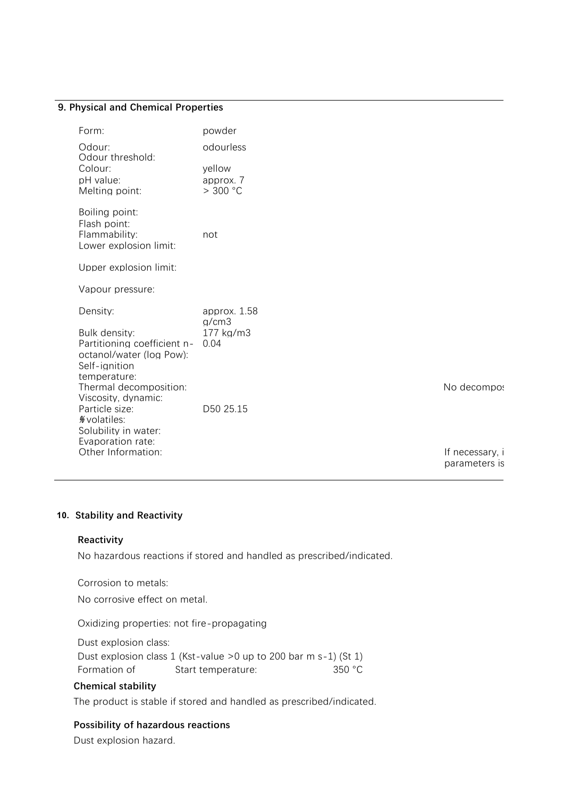#### **9. Physical and Chemical Properties**

| Form:                                                                     | powder             |                 |
|---------------------------------------------------------------------------|--------------------|-----------------|
| Odour:<br>Odour threshold:                                                | odourless          |                 |
| Colour:                                                                   | yellow             |                 |
| pH value:                                                                 | approx. 7          |                 |
| Melting point:                                                            | > 300 °C           |                 |
| Boiling point:<br>Flash point:<br>Flammability:<br>Lower explosion limit: | not                |                 |
|                                                                           |                    |                 |
| Upper explosion limit:                                                    |                    |                 |
| Vapour pressure:                                                          |                    |                 |
| Density:                                                                  | approx. 1.58       |                 |
| Bulk density:                                                             | q/cm3<br>177 kg/m3 |                 |
| Partitioning coefficient n-                                               | 0.04               |                 |
| octanol/water (log Pow):<br>Self-ignition                                 |                    |                 |
| temperature:                                                              |                    |                 |
| Thermal decomposition:<br>Viscosity, dynamic:                             |                    | No decompo:     |
| Particle size:                                                            | D50 25.15          |                 |
| % volatiles:                                                              |                    |                 |
| Solubility in water:<br>Evaporation rate:                                 |                    |                 |
| Other Information:                                                        |                    | If necessary, i |

parameters is

#### **10. Stability and Reactivity**

#### **Reactivity**

No hazardous reactions if stored and handled as prescribed/indicated.

Corrosion to metals:

No corrosive effect on metal.

Oxidizing properties: not fire-propagating

Dust explosion class:

Dust explosion class 1 (Kst-value >0 up to 200 bar m s-1) (St 1) Formation of Start temperature: 350 °C

#### **Chemical stability**

The product is stable if stored and handled as prescribed/indicated.

#### **Possibility of hazardous reactions**

Dust explosion hazard.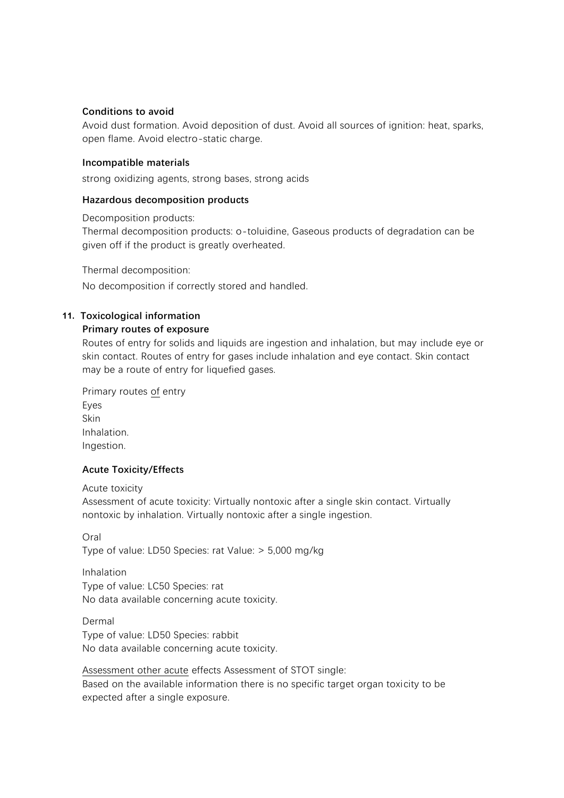#### **Conditions to avoid**

Avoid dust formation. Avoid deposition of dust. Avoid all sources of ignition: heat, sparks, open flame. Avoid electro-static charge.

#### **Incompatible materials**

strong oxidizing agents, strong bases, strong acids

#### **Hazardous decomposition products**

Decomposition products:

Thermal decomposition products: o-toluidine, Gaseous products of degradation can be given off if the product is greatly overheated.

Thermal decomposition: No decomposition if correctly stored and handled.

#### **11. Toxicological information**

#### **Primary routes of exposure**

Routes of entry for solids and liquids are ingestion and inhalation, but may include eye or skin contact. Routes of entry for gases include inhalation and eye contact. Skin contact may be a route of entry for liquefied gases.

| Primary routes of entry |
|-------------------------|
| Eyes                    |
| Skin                    |
| Inhalation.             |
| Ingestion.              |

#### **Acute Toxicity/Effects**

Acute toxicity

Assessment of acute toxicity: Virtually nontoxic after a single skin contact. Virtually nontoxic by inhalation. Virtually nontoxic after a single ingestion.

Oral Type of value: LD50 Species: rat Value: > 5,000 mg/kg

Inhalation Type of value: LC50 Species: rat No data available concerning acute toxicity.

Dermal Type of value: LD50 Species: rabbit No data available concerning acute toxicity.

Assessment other acute effects Assessment of STOT single: Based on the available information there is no specific target organ toxicity to be expected after a single exposure.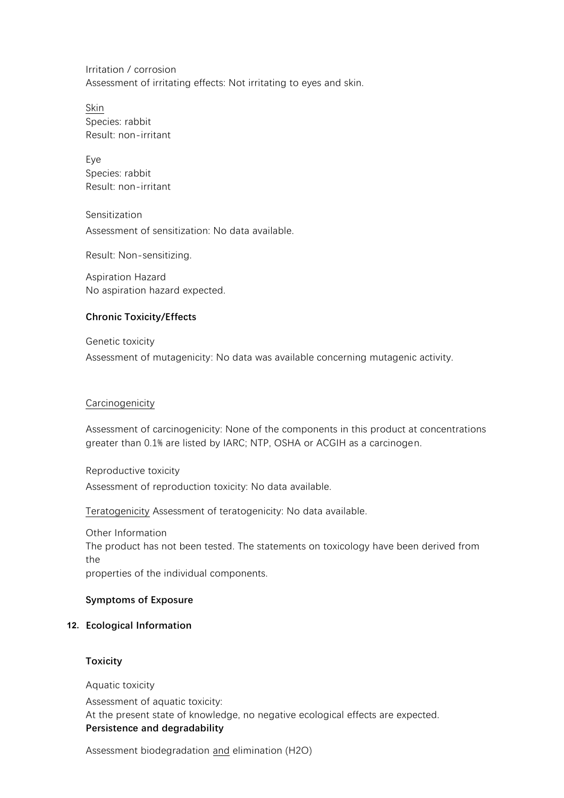Irritation / corrosion Assessment of irritating effects: Not irritating to eyes and skin.

Skin Species: rabbit Result: non-irritant

Eye Species: rabbit Result: non-irritant

Sensitization Assessment of sensitization: No data available.

Result: Non-sensitizing.

Aspiration Hazard No aspiration hazard expected.

#### **Chronic Toxicity/Effects**

Genetic toxicity Assessment of mutagenicity: No data was available concerning mutagenic activity.

#### Carcinogenicity

Assessment of carcinogenicity: None of the components in this product at concentrations greater than 0.1% are listed by IARC; NTP, OSHA or ACGIH as a carcinogen.

Reproductive toxicity Assessment of reproduction toxicity: No data available.

Teratogenicity Assessment of teratogenicity: No data available.

Other Information The product has not been tested. The statements on toxicology have been derived from the properties of the individual components.

#### **Symptoms of Exposure**

#### The most important known symptoms and effects are described in the labelling (see **12. Ecological Information** section 2)

#### Further important symptoms and effects are so far not known. **Toxicity**

Aquatic toxicity Assessment of aquatic toxicity: At the present state of knowledge, no negative ecological effects are expected. **Persistence and degradability**

Assessment biodegradation and elimination (H2O)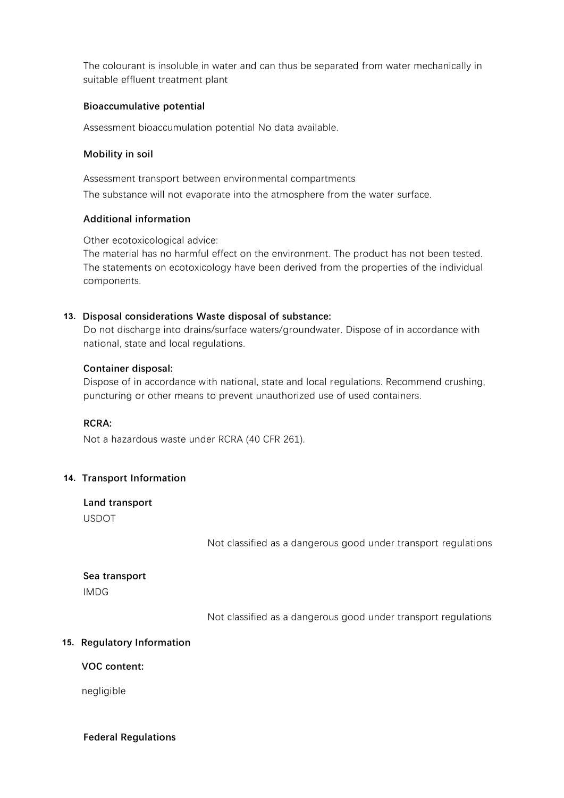The colourant is insoluble in water and can thus be separated from water mechanically in suitable effluent treatment plant

#### **Bioaccumulative potential**

Assessment bioaccumulation potential No data available.

#### **Mobility in soil**

Assessment transport between environmental compartments The substance will not evaporate into the atmosphere from the water surface.

#### **Additional information**

Other ecotoxicological advice:

The material has no harmful effect on the environment. The product has not been tested. The statements on ecotoxicology have been derived from the properties of the individual components.

#### **13. Disposal considerations Waste disposal of substance:**

Do not discharge into drains/surface waters/groundwater. Dispose of in accordance with national, state and local regulations.

#### **Container disposal:**

Dispose of in accordance with national, state and local regulations. Recommend crushing, puncturing or other means to prevent unauthorized use of used containers.

#### **RCRA:**

Not a hazardous waste under RCRA (40 CFR 261).

#### **14. Transport Information**

**Land transport** USDOT

Not classified as a dangerous good under transport regulations

# **Sea transport**

IMDG

Not classified as a dangerous good under transport regulations

#### **Air transport 15. Regulatory Information**

#### **VOC content:**

negligible

#### **Federal Regulations**